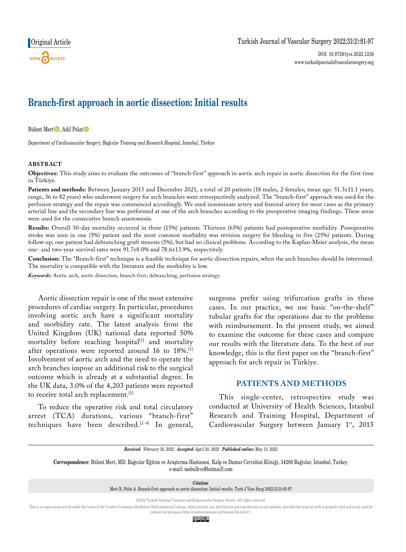# **Branch-first approach in aortic dissection: Initial results**

Bülent Mert<sup>D</sup>. Adil Polat<sup>D</sup>

*Department of Cardiovascular Surgery, Bağcılar Training and Research Hospital, Istanbul, Türkiye*

#### **ABSTRACT**

**Objectives:** This study aims to evaluate the outcomes of "branch-first" approach in aortic arch repair in aortic dissection for the first time in Türkiye.

Patients and methods: Between January 2015 and December 2021, a total of 20 patients (18 males, 2 females; mean age: 51.3±11.1 years; range, 36 to 82 years) who underwent surgery for arch branches were retrospectively analyzed. The "branch-first" approach was used for the perfusion strategy and the repair was commenced accordingly. We used innominate artery and femoral artery for most cases as the primary arterial line and the secondary line was performed at one of the arch branches according to the preoperative imaging findings. These areas were used for the consecutive branch anastomosis.

**Results:** Overall 30-day mortality occurred in three (15%) patients. Thirteen (65%) patients had postoperative morbidity. Postoperative stroke was seen in one (5%) patient and the most common morbidity was revision surgery for bleeding in five (25%) patients. During follow-up, one patient had debranching graft stenosis (5%), but had no clinical problems. According to the Kaplan-Meier analysis, the mean one- and two-year survival rates were 91.7±8.0% and 78.6±13.9%, respectively.

**Conclusion:** The "Branch-first" technique is a feasible technique for aortic dissection repairs, when the arch branches should be intervened. The mortality is compatible with the literature and the morbidity is low.

*Keywords:* Aortic arch, aortic dissection, branch-first, debranching, perfusion strategy.

Aortic dissection repair is one of the most extensive procedures of cardiac surgery. In particular, procedures involving aortic arch have a significant mortality and morbidity rate. The latest analysis from the United Kingdom (UK) national data reported 50% mortality before reaching hospital<sup>[1]</sup> and mortality after operations were reported around 16 to 18%.<sup>[1]</sup> Involvement of aortic arch and the need to operate the arch branches impose an additional risk to the surgical outcome which is already at a substantial degree. In the UK data, 3.0% of the 4,203 patients were reported to receive total arch replacement.<sup>[1]</sup>

To reduce the operative risk and total circulatory arrest (TCA) durations, various "branch-first" techniques have been described.[2-4] In general, surgeons prefer using trifurcation grafts in these cases. In our practice, we use basic "on-the-shelf" tubular grafts for the operations due to the problems with reimbursement. In the present study, we aimed to examine the outcome for these cases and compare our results with the literature data. To the best of our knowledge, this is the first paper on the "branch-first" approach for arch repair in Türkiye.

## **PATIENTS AND METHODS**

This single-center, retrospective study was conducted at University of Health Sciences, Istanbul Research and Training Hospital, Department of Cardiovascular Surgery between January 1st, 2015

*Received:* February 16, 2022 *Accepted:* April 20, 2022 *Published online:* May 13, 2022

*Correspondence:* Bülent Mert, MD. Bağcılar Eğitim ve Araştırma Hastanesi, Kalp ve Damar Cerrahisi Kliniği, 34200 Bağcılar, İstanbul, Turkey. e-mail: mebulkvc@hotmaill.com

*Citation:*

Mert B, Polat A. Branch-first approach in aortic dissection: Initial results. Turk J Vasc Surg 2022;31(2):91-97

©2022 Turkish National Vascular and Endovascular Surgery Society. All rights reserved.

This is an open access article under the terms of the Creative Commons Attribution-NonCommercial License, which permits use, distribution and reproduction in any medium, provided the original work is properly cited and is commercial purposes (http://creativecommons.org/licenses/by-nc/4.0/).

© 0ි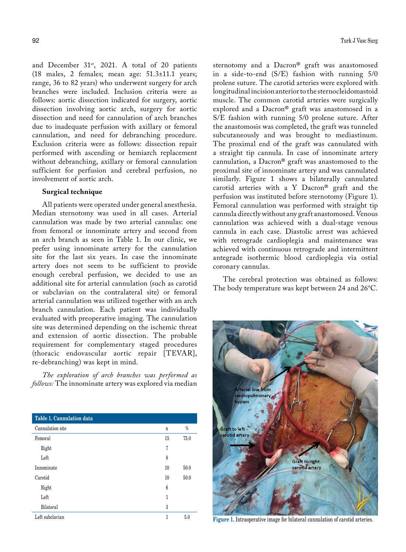and December  $31<sup>st</sup>$ , 2021. A total of 20 patients (18 males, 2 females; mean age: 51.3±11.1 years; range, 36 to 82 years) who underwent surgery for arch branches were included. Inclusion criteria were as follows: aortic dissection indicated for surgery, aortic dissection involving aortic arch, surgery for aortic dissection and need for cannulation of arch branches due to inadequate perfusion with axillary or femoral cannulation, and need for debranching procedure. Exclusion criteria were as follows: dissection repair performed with ascending or hemiarch replacement without debranching, axillary or femoral cannulation sufficient for perfusion and cerebral perfusion, no involvement of aortic arch.

#### **Surgical technique**

All patients were operated under general anesthesia. Median sternotomy was used in all cases. Arterial cannulation was made by two arterial cannulas: one from femoral or innominate artery and second from an arch branch as seen in Table 1. In our clinic, we prefer using innominate artery for the cannulation site for the last six years. In case the innominate artery does not seem to be sufficient to provide enough cerebral perfusion, we decided to use an additional site for arterial cannulation (such as carotid or subclavian on the contralateral site) or femoral arterial cannulation was utilized together with an arch branch cannulation. Each patient was individually evaluated with preoperative imaging. The cannulation site was determined depending on the ischemic threat and extension of aortic dissection. The probable requirement for complementary staged procedures (thoracic endovascular aortic repair [TEVAR], re-debranching) was kept in mind.

*The exploration of arch branches was performed as follows:* The innominate artery was explored via median

| Table 1. Cannulation data |    |      |
|---------------------------|----|------|
| Cannulation site          | n  | %    |
| Femoral                   | 15 | 75.0 |
| Right                     | 7  |      |
| Left                      | 8  |      |
| Innominate                | 10 | 50.0 |
| Carotid                   | 10 | 50.0 |
| Right                     | 6  |      |
| Left                      | 1  |      |
| Bilateral                 | 3  |      |
| Left subclavian           | 1  | 5.0  |

sternotomy and a Dacron® graft was anastomosed in a side-to-end (S/E) fashion with running 5/0 prolene suture. The carotid arteries were explored with longitudinal incision anterior to the sternocleidomastoid muscle. The common carotid arteries were surgically explored and a Dacron® graft was anastomosed in a S/E fashion with running 5/0 prolene suture. After the anastomosis was completed, the graft was tunneled subcutaneously and was brought to mediastinum. The proximal end of the graft was cannulated with a straight tip cannula. In case of innominate artery cannulation, a Dacron® graft was anastomosed to the proximal site of innominate artery and was cannulated similarly. Figure 1 shows a bilaterally cannulated carotid arteries with a Y Dacron® graft and the perfusion was instituted before sternotomy (Figure 1). Femoral cannulation was performed with straight tip cannula directly without any graft anastomosed. Venous cannulation was achieved with a dual-stage venous cannula in each case. Diastolic arrest was achieved with retrograde cardioplegia and maintenance was achieved with continuous retrograde and intermittent antegrade isothermic blood cardioplegia via ostial coronary cannulas.

The cerebral protection was obtained as follows: The body temperature was kept between 24 and 26ºC.



Figure 1. Intraoperative image for bilateral cannulation of carotid arteries.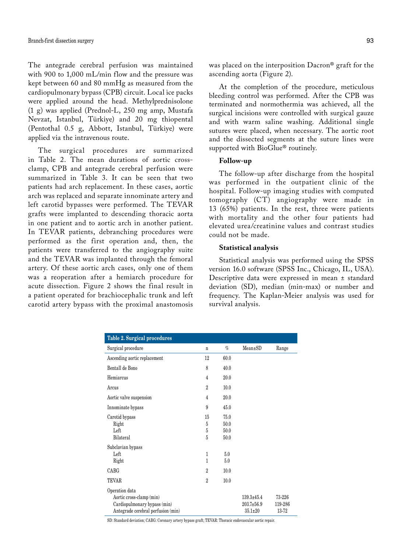The antegrade cerebral perfusion was maintained with 900 to 1,000 mL/min flow and the pressure was kept between 60 and 80 mmHg as measured from the cardiopulmonary bypass (CPB) circuit. Local ice packs were applied around the head. Methylprednisolone (1 g) was applied (Prednol-L, 250 mg amp, Mustafa Nevzat, Istanbul, Türkiye) and 20 mg thiopental (Pentothal 0.5 g, Abbott, Istanbul, Türkiye) were applied via the intravenous route.

The surgical procedures are summarized in Table 2. The mean durations of aortic crossclamp, CPB and antegrade cerebral perfusion were summarized in Table 3. It can be seen that two patients had arch replacement. In these cases, aortic arch was replaced and separate innominate artery and left carotid bypasses were performed. The TEVAR grafts were implanted to descending thoracic aorta in one patient and to aortic arch in another patient. In TEVAR patients, debranching procedures were performed as the first operation and, then, the patients were transferred to the angiography suite and the TEVAR was implanted through the femoral artery. Of these aortic arch cases, only one of them was a reoperation after a hemiarch procedure for acute dissection. Figure 2 shows the final result in a patient operated for brachiocephalic trunk and left carotid artery bypass with the proximal anastomosis was placed on the interposition Dacron® graft for the ascending aorta (Figure 2).

At the completion of the procedure, meticulous bleeding control was performed. After the CPB was terminated and normothermia was achieved, all the surgical incisions were controlled with surgical gauze and with warm saline washing. Additional single sutures were placed, when necessary. The aortic root and the dissected segments at the suture lines were supported with BioGlue® routinely.

### **Follow-up**

The follow-up after discharge from the hospital was performed in the outpatient clinic of the hospital. Follow-up imaging studies with computed tomography (CT) angiography were made in 13 (65%) patients. In the rest, three were patients with mortality and the other four patients had elevated urea/creatinine values and contrast studies could not be made.

#### **Statistical analysis**

Statistical analysis was performed using the SPSS version 16.0 software (SPSS Inc., Chicago, IL, USA). Descriptive data were expressed in mean ± standard deviation (SD), median (min-max) or number and frequency. The Kaplan-Meier analysis was used for survival analysis.

| <b>Table 2. Surgical procedures</b>                                                                              |                   |                              |                                                   |                            |
|------------------------------------------------------------------------------------------------------------------|-------------------|------------------------------|---------------------------------------------------|----------------------------|
| Surgical procedure                                                                                               | n                 | $\%$                         | $Mean \pm SD$                                     | Range                      |
| Ascending aortic replacement                                                                                     | 12                | 60.0                         |                                                   |                            |
| Bentall de Bono                                                                                                  | 8                 | 40.0                         |                                                   |                            |
| Hemiarcus                                                                                                        | $\overline{4}$    | 20.0                         |                                                   |                            |
| Arcus                                                                                                            | $\mathcal{D}_{1}$ | 10.0                         |                                                   |                            |
| Aortic valve suspension                                                                                          | 4                 | 20.0                         |                                                   |                            |
| Innominate bypass                                                                                                | 9                 | 45.0                         |                                                   |                            |
| Carotid bypass<br>Right<br>Left<br>Bilateral                                                                     | 15<br>5<br>5<br>5 | 75.0<br>50.0<br>50.0<br>50.0 |                                                   |                            |
| Subclavian bypass<br>Left<br>Right                                                                               | 1<br>1            | 5.0<br>5.0                   |                                                   |                            |
| CABG                                                                                                             | $\mathcal{D}_{1}$ | 10.0                         |                                                   |                            |
| <b>TEVAR</b>                                                                                                     | $\mathcal{D}_{1}$ | 10.0                         |                                                   |                            |
| Operation data<br>Aortic cross-clamp (min)<br>Cardiopulmonary bypass (min)<br>Antegrade cerebral perfusion (min) |                   |                              | $139.3 + 45.4$<br>$203.7 + 56.9$<br>$35.1 \pm 20$ | 73-226<br>119-286<br>13-72 |

SD: Standard deviation; CABG: Coronary artery bypass graft; TEVAR: Thoracic endovascular aortic repair.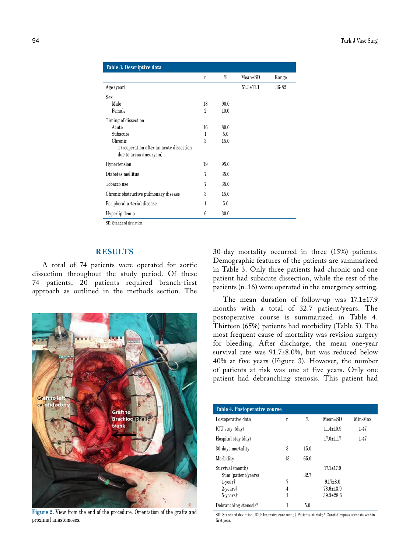| Table 3. Descriptive data                                          |                |      |                 |       |
|--------------------------------------------------------------------|----------------|------|-----------------|-------|
|                                                                    | n              | $\%$ | $Mean \pm SD$   | Range |
| Age (year)                                                         |                |      | $51.3 \pm 11.1$ | 36-82 |
| Sex                                                                |                |      |                 |       |
| Male                                                               | 18             | 90.0 |                 |       |
| Female                                                             | $\overline{2}$ | 10.0 |                 |       |
| Timing of dissection                                               |                |      |                 |       |
| Acute                                                              | 16             | 80.0 |                 |       |
| Subacute                                                           | 1              | 5.0  |                 |       |
| Chronic                                                            | 3              | 15.0 |                 |       |
| 1 (reoperation after an acute dissection<br>due to arcus aneurysm) |                |      |                 |       |
| Hypertension                                                       | 19             | 95.0 |                 |       |
| Diabetes mellitus                                                  | 7              | 35.0 |                 |       |
| Tobacco use                                                        | 7              | 35.0 |                 |       |
| Chronic obstructive pulmonary disease                              | 3              | 15.0 |                 |       |
| Peripheral arterial disease                                        | 1              | 5.0  |                 |       |
| Hyperlipidemia                                                     | 6              | 30.0 |                 |       |

SD: Standard deviation.

## **RESULTS**

A total of 74 patients were operated for aortic dissection throughout the study period. Of these 74 patients, 20 patients required branch-first approach as outlined in the methods section. The



**Figure 2.** View from the end of the procedure. Orientation of the grafts and proximal anastomoses.

30-day mortality occurred in three (15%) patients. Demographic features of the patients are summarized in Table 3. Only three patients had chronic and one patient had subacute dissection, while the rest of the patients (n=16) were operated in the emergency setting.

The mean duration of follow-up was 17.1±17.9 months with a total of 32.7 patient/years. The postoperative course is summarized in Table 4. Thirteen (65%) patients had morbidity (Table 5). The most frequent cause of mortality was revision surgery for bleeding. After discharge, the mean one-year survival rate was 91.7±8.0%, but was reduced below 40% at five years (Figure 3). However, the number of patients at risk was one at five years. Only one patient had debranching stenosis. This patient had

| Table 4. Postoperative course             |    |      |                 |         |
|-------------------------------------------|----|------|-----------------|---------|
| Postoperative data                        | n  | $\%$ | $Mean \pm SD$   | Min-Max |
| ICU stay (day)                            |    |      | $11.4 \pm 10.9$ | $1-47$  |
| Hospital stay (day)                       |    |      | $17.0 \pm 11.7$ | $1-47$  |
| 30-days mortality                         | 3  | 15.0 |                 |         |
| Morbidity                                 | 13 | 65.0 |                 |         |
| Survival (month)                          |    |      | $17.1 \pm 17.9$ |         |
| Sum (patient/years)                       |    | 32.7 |                 |         |
| $1$ -year <sup><math>\dagger</math></sup> | 7  |      | $91.7 \pm 8.0$  |         |
| $2$ -vears $\dagger$                      | 4  |      | $78.6 \pm 13.9$ |         |
| $5$ -vears $\dagger$                      | 1  |      | $39.3 \pm 28.6$ |         |
| Debranching stenosis*                     | 1  | 5.0  |                 |         |

SD: Standard deviation; ICU: Intensive care unit; † Patients at risk; \* Carotid bypass stenosis within first year.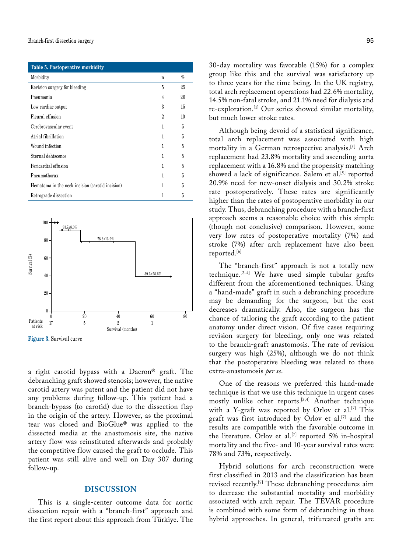| Table 5. Postoperative morbidity                 |                   |      |
|--------------------------------------------------|-------------------|------|
| Morbidity                                        | n                 | $\%$ |
| Revision surgery for bleeding                    | 5                 | 25   |
| Pneumonia                                        | 4                 | 20   |
| Low cardiac output                               | 3                 | 15   |
| Pleural effusion                                 | $\mathcal{D}_{1}$ | 10   |
| Cerebrovascular event                            | 1                 | 5    |
| Atrial fibrillation                              | 1                 | 5    |
| Wound infection                                  | 1                 | 5    |
| Sternal dehiscence                               | 1                 | 5    |
| Pericardial effusion                             | 1                 | 5    |
| Pneumothorax                                     | 1                 | 5    |
| Hematoma in the neck incision (carotid incision) | 1                 | 5    |
| Retrograde dissection                            | 1                 | 5    |





a right carotid bypass with a Dacron® graft. The debranching graft showed stenosis; however, the native carotid artery was patent and the patient did not have any problems during follow-up. This patient had a branch-bypass (to carotid) due to the dissection flap in the origin of the artery. However, as the proximal tear was closed and BioGlue® was applied to the dissected media at the anastomosis site, the native artery flow was reinstituted afterwards and probably the competitive flow caused the graft to occlude. This patient was still alive and well on Day 307 during follow-up.

### **DISCUSSION**

This is a single-center outcome data for aortic dissection repair with a "branch-first" approach and the first report about this approach from Türkiye. The 30-day mortality was favorable (15%) for a complex group like this and the survival was satisfactory up to three years for the time being. In the UK registry, total arch replacement operations had 22.6% mortality, 14.5% non-fatal stroke, and 21.1% need for dialysis and re-exploration.[1] Our series showed similar mortality, but much lower stroke rates.

Although being devoid of a statistical significance, total arch replacement was associated with high mortality in a German retrospective analysis.[5] Arch replacement had 23.8% mortality and ascending aorta replacement with a 16.8% and the propensity matching showed a lack of significance. Salem et al.<sup>[5]</sup> reported 20.9% need for new-onset dialysis and 30.2% stroke rate postoperatively. These rates are significantly higher than the rates of postoperative morbidity in our study. Thus, debranching procedure with a branch-first approach seems a reasonable choice with this simple (though not conclusive) comparison. However, some very low rates of postoperative mortality (7%) and stroke (7%) after arch replacement have also been reported.[6]

The "branch-first" approach is not a totally new technique.[2-4] We have used simple tubular grafts different from the aforementioned techniques. Using a "hand-made" graft in such a debranching procedure may be demanding for the surgeon, but the cost decreases dramatically. Also, the surgeon has the chance of tailoring the graft according to the patient anatomy under direct vision. Of five cases requiring revision surgery for bleeding, only one was related to the branch-graft anastomosis. The rate of revision surgery was high (25%), although we do not think that the postoperative bleeding was related to these extra-anastomosis *per se*.

One of the reasons we preferred this hand-made technique is that we use this technique in urgent cases mostly unlike other reports.<sup>[3,4]</sup> Another technique with a Y-graft was reported by Orlov et al.<sup>[7]</sup> This graft was first introduced by Orlov et al.<sup>[7]</sup> and the results are compatible with the favorable outcome in the literature. Orlov et al.[7] reported 5% in-hospital mortality and the five- and 10-year survival rates were 78% and 73%, respectively.

Hybrid solutions for arch reconstruction were first classified in 2013 and the classification has been revised recently.[8] These debranching procedures aim to decrease the substantial mortality and morbidity associated with arch repair. The TEVAR procedure is combined with some form of debranching in these hybrid approaches. In general, trifurcated grafts are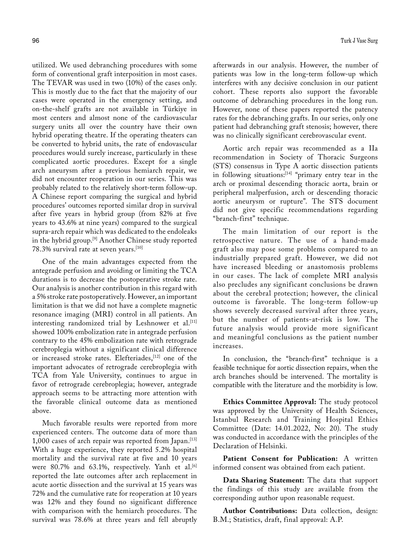utilized. We used debranching procedures with some form of conventional graft interposition in most cases. The TEVAR was used in two (10%) of the cases only. This is mostly due to the fact that the majority of our cases were operated in the emergency setting, and on-the-shelf grafts are not available in Türkiye in most centers and almost none of the cardiovascular surgery units all over the country have their own hybrid operating theatre. If the operating theaters can be converted to hybrid units, the rate of endovascular procedures would surely increase, particularly in these complicated aortic procedures. Except for a single arch aneurysm after a previous hemiarch repair, we did not encounter reoperation in our series. This was probably related to the relatively short-term follow-up. A Chinese report comparing the surgical and hybrid procedures' outcomes reported similar drop in survival after five years in hybrid group (from 82% at five years to 43.6% at nine years) compared to the surgical supra-arch repair which was dedicated to the endoleaks in the hybrid group.[9] Another Chinese study reported 78.3% survival rate at seven years.[10]

One of the main advantages expected from the antegrade perfusion and avoiding or limiting the TCA durations is to decrease the postoperative stroke rate. Our analysis is another contribution in this regard with a 5% stroke rate postoperatively. However, an important limitation is that we did not have a complete magnetic resonance imaging (MRI) control in all patients. An interesting randomized trial by Leshnower et al. $[11]$ showed 100% embolization rate in antegrade perfusion contrary to the 45% embolization rate with retrograde cerebroplegia without a significant clinical difference or increased stroke rates. Elefteriades,<sup>[12]</sup> one of the important advocates of retrograde cerebroplegia with TCA from Yale University, continues to argue in favor of retrograde cerebroplegia; however, antegrade approach seems to be attracting more attention with the favorable clinical outcome data as mentioned above.

Much favorable results were reported from more experienced centers. The outcome data of more than 1,000 cases of arch repair was reported from Japan.[13] With a huge experience, they reported 5.2% hospital mortality and the survival rate at five and 10 years were 80.7% and 63.1%, respectively. Yanh et al.<sup>[6]</sup> reported the late outcomes after arch replacement in acute aortic dissection and the survival at 15 years was 72% and the cumulative rate for reoperation at 10 years was 12% and they found no significant difference with comparison with the hemiarch procedures. The survival was 78.6% at three years and fell abruptly afterwards in our analysis. However, the number of patients was low in the long-term follow-up which interferes with any decisive conclusion in our patient cohort. These reports also support the favorable outcome of debranching procedures in the long run. However, none of these papers reported the patency rates for the debranching grafts. In our series, only one patient had debranching graft stenosis; however, there was no clinically significant cerebrovascular event.

Aortic arch repair was recommended as a IIa recommendation in Society of Thoracic Surgeons (STS) consensus in Type A aortic dissection patients in following situations:<sup>[14]</sup> "primary entry tear in the arch or proximal descending thoracic aorta, brain or peripheral malperfusion, arch or descending thoracic aortic aneurysm or rupture". The STS document did not give specific recommendations regarding "branch-first" technique.

The main limitation of our report is the retrospective nature. The use of a hand-made graft also may pose some problems compared to an industrially prepared graft. However, we did not have increased bleeding or anastomosis problems in our cases. The lack of complete MRI analysis also precludes any significant conclusions be drawn about the cerebral protection; however, the clinical outcome is favorable. The long-term follow-up shows severely decreased survival after three years, but the number of patients-at-risk is low. The future analysis would provide more significant and meaningful conclusions as the patient number increases.

In conclusion, the "branch-first" technique is a feasible technique for aortic dissection repairs, when the arch branches should be intervened. The mortality is compatible with the literature and the morbidity is low.

**Ethics Committee Approval:** The study protocol was approved by the University of Health Sciences, Istanbul Research and Training Hospital Ethics Committee (Date: 14.01.2022, No: 20). The study was conducted in accordance with the principles of the Declaration of Helsinki.

**Patient Consent for Publication:** A written informed consent was obtained from each patient.

**Data Sharing Statement:** The data that support the findings of this study are available from the corresponding author upon reasonable request.

**Author Contributions:** Data collection, design: B.M.; Statistics, draft, final approval: A.P.